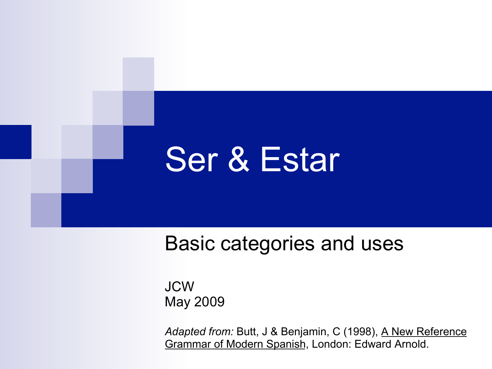# Ser & Estar

Basic categories and uses

JCW May 2009

Adapted from: Butt, J & Benjamin, C (1998), A New Reference Grammar of Modern Spanish, London: Edward Arnold.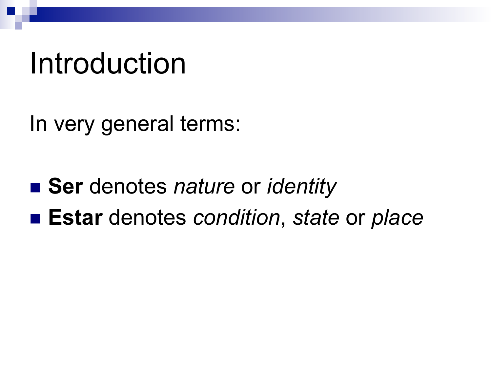## Introduction

In very general terms:

■ Ser denotes *nature* or *identity* ■ **Estar** denotes *condition*, *state* or *place*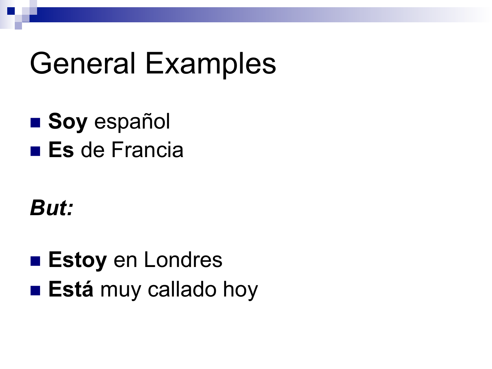## **General Examples**

**Soy español**  $\blacksquare$  Es de Francia

#### **But:**

**Estoy en Londres Está** muy callado hoy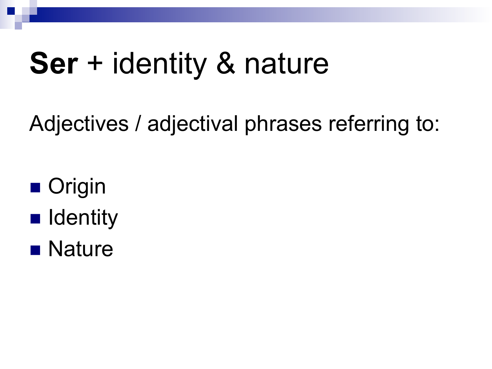## **Ser** + identity & nature

Adjectives / adjectival phrases referring to:

- Origin
- **n** Identity
- **n** Nature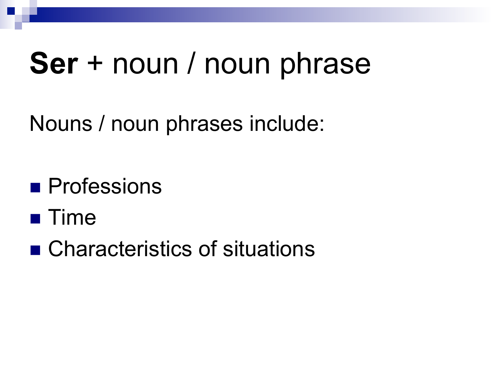# **Ser** + noun / noun phrase

Nouns / noun phrases include:

**n** Professions

- $\blacksquare$  Time
- Characteristics of situations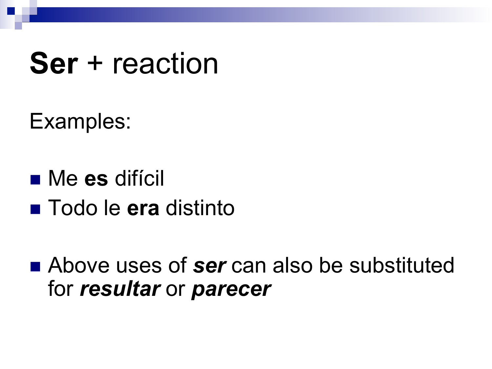## **Ser** + reaction

Examples:

n Me **es** difícil n Todo le **era** distinto

■ Above uses of **ser** can also be substituted for *resultar* or *parecer*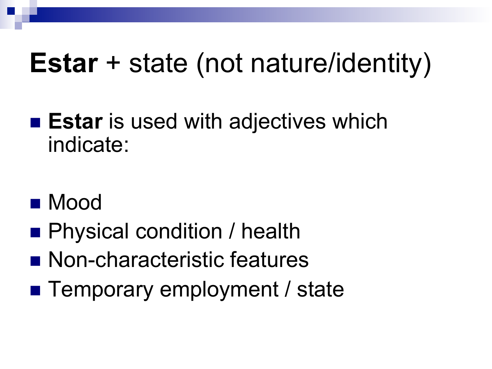### **Estar** + state (not nature/identity)

- **Estar** is used with adjectives which indicate:
- n Mood
- Physical condition / health
- Non-characteristic features
- Temporary employment / state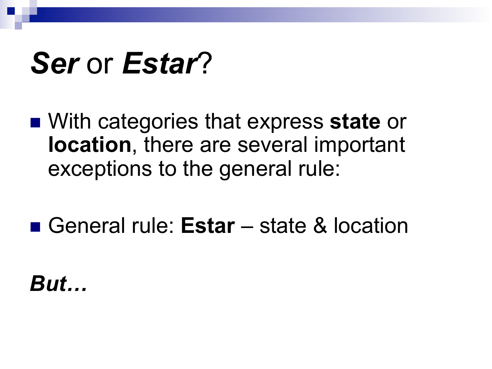# Ser or Estar?

- With categories that express state or location, there are several important exceptions to the general rule:
- General rule: Estar state & location

**But...**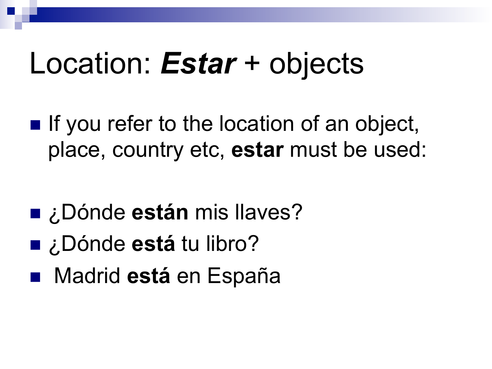# Location: *Estar* + objects

 $\blacksquare$  If you refer to the location of an object, place, country etc, **estar** must be used:

- ¿Dónde **están** mis llaves?
- ¿Dónde **está** tu libro?
- Madrid **está** en España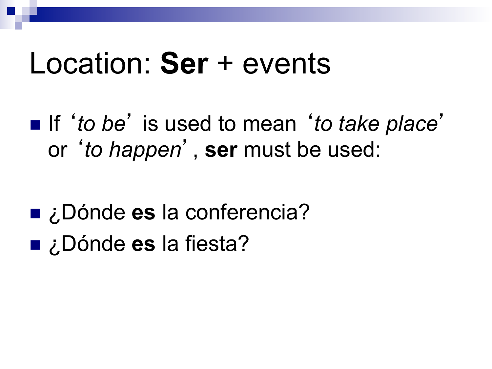#### Location: **Ser** + events

■ If '*to be'* is used to mean '*to take place'* or '*to happen*' , **ser** must be used:

- ¿Dónde **es** la conferencia?
- ¿Dónde **es** la fiesta?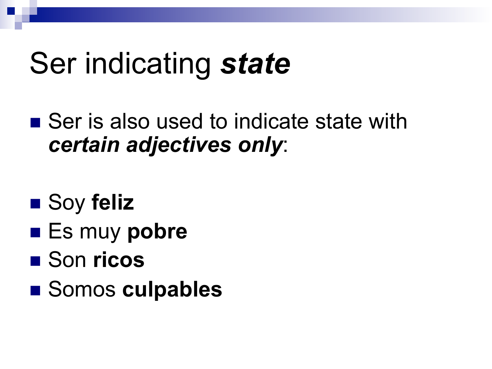# Ser indicating *state*

- $\blacksquare$  Ser is also used to indicate state with *certain adjectives only*:
- Soy feliz
- Es muy pobre
- Son ricos
- Somos culpables